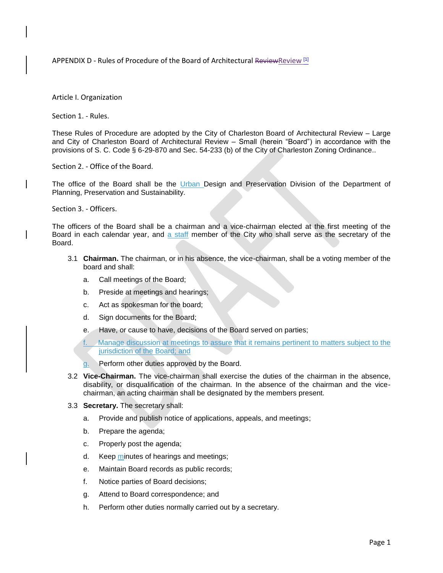APPENDIX D - Rules of Procedure of the Board of Architectural ReviewReview [1]

Article I. Organization

Section 1. - Rules.

These Rules of Procedure are adopted by the City of Charleston Board of Architectural Review – Large and City of Charleston Board of Architectural Review – Small (herein "Board") in accordance with the provisions of S. C. Code § 6-29-870 and Sec. 54-233 (b) of the City of Charleston Zoning Ordinance..

Section 2. - Office of the Board.

The office of the Board shall be the Urban Design and Preservation Division of the Department of Planning, Preservation and Sustainability.

Section 3. - Officers.

The officers of the Board shall be a chairman and a vice-chairman elected at the first meeting of the Board in each calendar year, and a staff member of the City who shall serve as the secretary of the Board.

- 3.1 **Chairman.** The chairman, or in his absence, the vice-chairman, shall be a voting member of the board and shall:
	- a. Call meetings of the Board;
	- b. Preside at meetings and hearings;
	- c. Act as spokesman for the board;
	- d. Sign documents for the Board;
	- e. Have, or cause to have, decisions of the Board served on parties;
	- Manage discussion at meetings to assure that it remains pertinent to matters subject to the jurisdiction of the Board; and
	- g. Perform other duties approved by the Board.
- 3.2 **Vice-Chairman.** The vice-chairman shall exercise the duties of the chairman in the absence, disability, or disqualification of the chairman. In the absence of the chairman and the vicechairman, an acting chairman shall be designated by the members present.
- 3.3 **Secretary.** The secretary shall:
	- a. Provide and publish notice of applications, appeals, and meetings;
	- b. Prepare the agenda;
	- c. Properly post the agenda;
	- d. Keep minutes of hearings and meetings;
	- e. Maintain Board records as public records;
	- f. Notice parties of Board decisions;
	- g. Attend to Board correspondence; and
	- h. Perform other duties normally carried out by a secretary.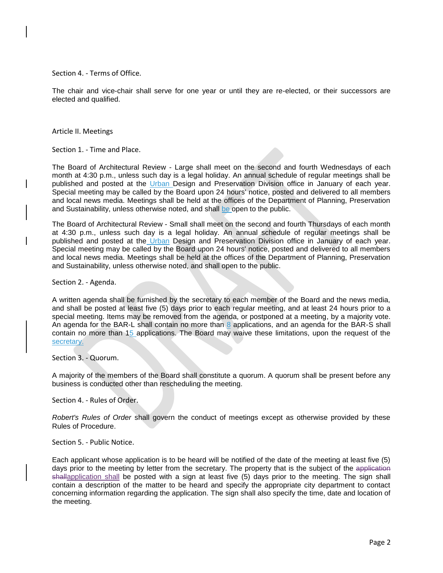Section 4. - Terms of Office.

The chair and vice-chair shall serve for one year or until they are re-elected, or their successors are elected and qualified.

Article II. Meetings

Section 1. - Time and Place.

The Board of Architectural Review - Large shall meet on the second and fourth Wednesdays of each month at 4:30 p.m., unless such day is a legal holiday. An annual schedule of regular meetings shall be published and posted at the Urban Design and Preservation Division office in January of each year. Special meeting may be called by the Board upon 24 hours' notice, posted and delivered to all members and local news media. Meetings shall be held at the offices of the Department of Planning, Preservation and Sustainability, unless otherwise noted, and shall be open to the public.

The Board of Architectural Review - Small shall meet on the second and fourth Thursdays of each month at 4:30 p.m., unless such day is a legal holiday. An annual schedule of regular meetings shall be published and posted at the Urban Design and Preservation Division office in January of each year. Special meeting may be called by the Board upon 24 hours' notice, posted and delivered to all members and local news media. Meetings shall be held at the offices of the Department of Planning, Preservation and Sustainability, unless otherwise noted, and shall open to the public.

Section 2. - Agenda.

A written agenda shall be furnished by the secretary to each member of the Board and the news media, and shall be posted at least five (5) days prior to each regular meeting, and at least 24 hours prior to a special meeting. Items may be removed from the agenda, or postponed at a meeting, by a majority vote. An agenda for the BAR-L shall contain no more than 8 applications, and an agenda for the BAR-S shall contain no more than 15 applications. The Board may waive these limitations, upon the request of the secretary.

Section 3. - Quorum.

A majority of the members of the Board shall constitute a quorum. A quorum shall be present before any business is conducted other than rescheduling the meeting.

Section 4. - Rules of Order.

*Robert's Rules of Order* shall govern the conduct of meetings except as otherwise provided by these Rules of Procedure.

Section 5. - Public Notice.

Each applicant whose application is to be heard will be notified of the date of the meeting at least five (5) days prior to the meeting by letter from the secretary. The property that is the subject of the application shallapplication shall be posted with a sign at least five (5) days prior to the meeting. The sign shall contain a description of the matter to be heard and specify the appropriate city department to contact concerning information regarding the application. The sign shall also specify the time, date and location of the meeting.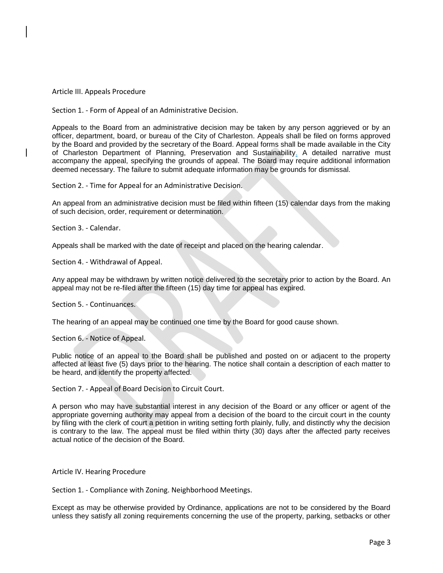## Article III. Appeals Procedure

Section 1. - Form of Appeal of an Administrative Decision.

Appeals to the Board from an administrative decision may be taken by any person aggrieved or by an officer, department, board, or bureau of the City of Charleston. Appeals shall be filed on forms approved by the Board and provided by the secretary of the Board. Appeal forms shall be made available in the City of Charleston Department of Planning, Preservation and Sustainability. A detailed narrative must accompany the appeal, specifying the grounds of appeal. The Board may require additional information deemed necessary. The failure to submit adequate information may be grounds for dismissal.

Section 2. - Time for Appeal for an Administrative Decision.

An appeal from an administrative decision must be filed within fifteen (15) calendar days from the making of such decision, order, requirement or determination.

Section 3. - Calendar.

Appeals shall be marked with the date of receipt and placed on the hearing calendar.

Section 4. - Withdrawal of Appeal.

Any appeal may be withdrawn by written notice delivered to the secretary prior to action by the Board. An appeal may not be re-filed after the fifteen (15) day time for appeal has expired.

Section 5. - Continuances.

The hearing of an appeal may be continued one time by the Board for good cause shown.

Section 6. - Notice of Appeal.

Public notice of an appeal to the Board shall be published and posted on or adjacent to the property affected at least five (5) days prior to the hearing. The notice shall contain a description of each matter to be heard, and identify the property affected.

Section 7. - Appeal of Board Decision to Circuit Court.

A person who may have substantial interest in any decision of the Board or any officer or agent of the appropriate governing authority may appeal from a decision of the board to the circuit court in the county by filing with the clerk of court a petition in writing setting forth plainly, fully, and distinctly why the decision is contrary to the law. The appeal must be filed within thirty (30) days after the affected party receives actual notice of the decision of the Board.

Article IV. Hearing Procedure

Section 1. - Compliance with Zoning. Neighborhood Meetings.

Except as may be otherwise provided by Ordinance, applications are not to be considered by the Board unless they satisfy all zoning requirements concerning the use of the property, parking, setbacks or other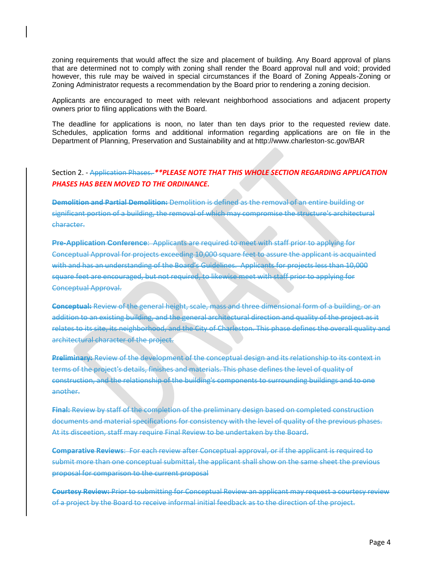zoning requirements that would affect the size and placement of building. Any Board approval of plans that are determined not to comply with zoning shall render the Board approval null and void; provided however, this rule may be waived in special circumstances if the Board of Zoning Appeals-Zoning or Zoning Administrator requests a recommendation by the Board prior to rendering a zoning decision.

Applicants are encouraged to meet with relevant neighborhood associations and adjacent property owners prior to filing applications with the Board.

The deadline for applications is noon, no later than ten days prior to the requested review date. Schedules, application forms and additional information regarding applications are on file in the Department of Planning, Preservation and Sustainability and at http://www.charleston-sc.gov/BAR

## Section 2. - Application Phases. *\*\*PLEASE NOTE THAT THIS WHOLE SECTION REGARDING APPLICATION PHASES HAS BEEN MOVED TO THE ORDINANCE.*

**Demolition and Partial Demolition:** Demolition is defined as the removal of an entire building or significant portion of a building, the removal of which may compromise the structure's architectural character.

**Pre-Application Conference**: Applicants are required to meet with staff prior to applying for Conceptual Approval for projects exceeding 10,000 square feet to assure the applicant is acquainted with and has an understanding of the Board's Guidelines. Applicants for projects less than 10,000 square feet are encouraged, but not required, to likewise meet with staff prior to applying for Conceptual Approval.

**Conceptual:** Review of the general height, scale, mass and three dimensional form of a building, or an addition to an existing building, and the general architectural direction and quality of the project as it relates to its site, its neighborhood, and the City of Charleston. This phase defines the overall quality and architectural character of the project.

**Preliminary:** Review of the development of the conceptual design and its relationship to its context in terms of the project's details, finishes and materials. This phase defines the level of quality of construction, and the relationship of the building's components to surrounding buildings and to one another.

**Final:** Review by staff of the completion of the preliminary design based on completed construction documents and material specifications for consistency with the level of quality of the previous phases. At its disceetion, staff may require Final Review to be undertaken by the Board.

**Comparative Reviews**: For each review after Conceptual approval, or if the applicant is required to submit more than one conceptual submittal, the applicant shall show on the same sheet the previous proposal for comparison to the current proposal

**Courtesy Review:** Prior to submitting for Conceptual Review an applicant may request a courtesy review of a project by the Board to receive informal initial feedback as to the direction of the project.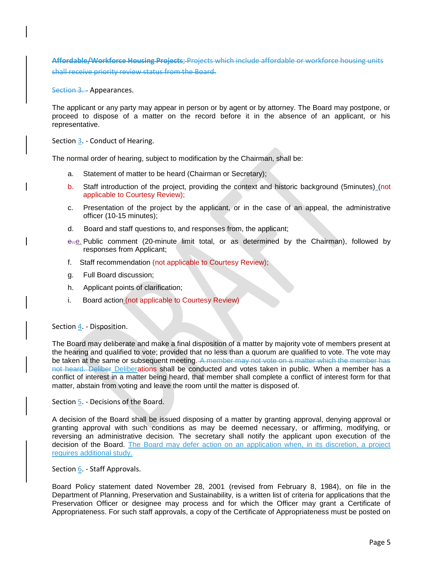**Affordable/Workforce Housing Projects**; Projects which include affordable or workforce housing units shall receive priority review status from the Board.

Section 3. - Appearances.

The applicant or any party may appear in person or by agent or by attorney. The Board may postpone, or proceed to dispose of a matter on the record before it in the absence of an applicant, or his representative.

Section 3. - Conduct of Hearing.

The normal order of hearing, subject to modification by the Chairman, shall be:

- a. Statement of matter to be heard (Chairman or Secretary);
- b. Staff introduction of the project, providing the context and historic background (5minutes) (not applicable to Courtesy Review);
- c. Presentation of the project by the applicant, or in the case of an appeal, the administrative officer (10-15 minutes);
- d. Board and staff questions to, and responses from, the applicant;
- e..e. Public comment (20-minute limit total, or as determined by the Chairman), followed by responses from Applicant;
- f. Staff recommendation (not applicable to Courtesy Review);
- g. Full Board discussion;
- h. Applicant points of clarification;
- i. Board action (not applicable to Courtesy Review)

## Section 4. - Disposition.

The Board may deliberate and make a final disposition of a matter by majority vote of members present at the hearing and qualified to vote; provided that no less than a quorum are qualified to vote. The vote may be taken at the same or subsequent meeting. A member may not vote on a matter which the member has not heard. Deliber Deliberations shall be conducted and votes taken in public. When a member has a conflict of interest in a matter being heard, that member shall complete a conflict of interest form for that matter, abstain from voting and leave the room until the matter is disposed of.

Section 5. - Decisions of the Board.

A decision of the Board shall be issued disposing of a matter by granting approval, denying approval or granting approval with such conditions as may be deemed necessary, or affirming, modifying, or reversing an administrative decision. The secretary shall notify the applicant upon execution of the decision of the Board. The Board may defer action on an application when, in its discretion, a project requires additional study.

Section 6. - Staff Approvals.

Board Policy statement dated November 28, 2001 (revised from February 8, 1984), on file in the Department of Planning, Preservation and Sustainability, is a written list of criteria for applications that the Preservation Officer or designee may process and for which the Officer may grant a Certificate of Appropriateness. For such staff approvals, a copy of the Certificate of Appropriateness must be posted on